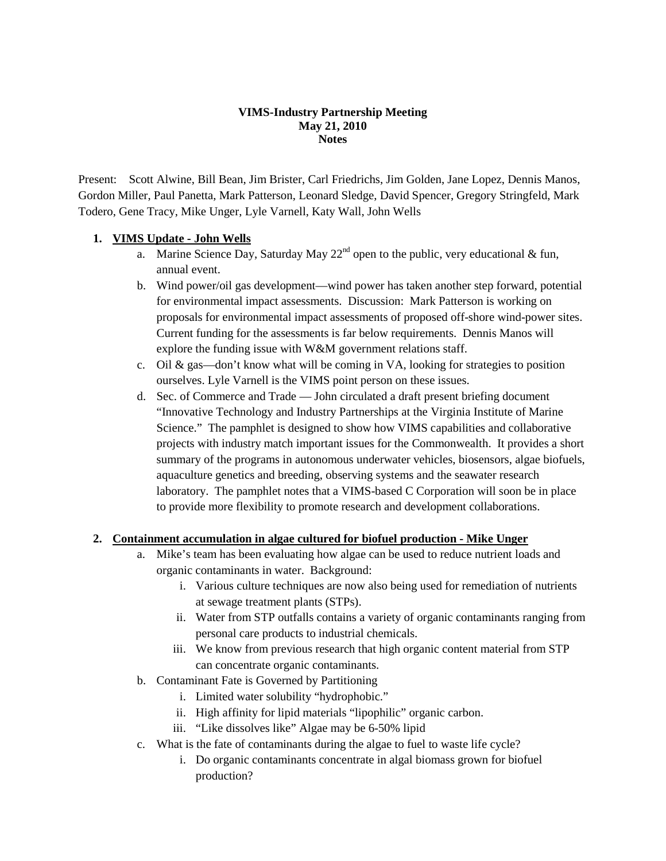#### **VIMS-Industry Partnership Meeting May 21, 2010 Notes**

Present: Scott Alwine, Bill Bean, Jim Brister, Carl Friedrichs, Jim Golden, Jane Lopez, Dennis Manos, Gordon Miller, Paul Panetta, Mark Patterson, Leonard Sledge, David Spencer, Gregory Stringfeld, Mark Todero, Gene Tracy, Mike Unger, Lyle Varnell, Katy Wall, John Wells

#### **1. VIMS Update - John Wells**

- a. Marine Science Day, Saturday May  $22<sup>nd</sup>$  open to the public, very educational & fun, annual event.
- b. Wind power/oil gas development—wind power has taken another step forward, potential for environmental impact assessments. Discussion: Mark Patterson is working on proposals for environmental impact assessments of proposed off-shore wind-power sites. Current funding for the assessments is far below requirements. Dennis Manos will explore the funding issue with W&M government relations staff.
- c. Oil & gas—don't know what will be coming in VA, looking for strategies to position ourselves. Lyle Varnell is the VIMS point person on these issues.
- d. Sec. of Commerce and Trade John circulated a draft present briefing document "Innovative Technology and Industry Partnerships at the Virginia Institute of Marine Science." The pamphlet is designed to show how VIMS capabilities and collaborative projects with industry match important issues for the Commonwealth. It provides a short summary of the programs in autonomous underwater vehicles, biosensors, algae biofuels, aquaculture genetics and breeding, observing systems and the seawater research laboratory. The pamphlet notes that a VIMS-based C Corporation will soon be in place to provide more flexibility to promote research and development collaborations.

#### **2. Containment accumulation in algae cultured for biofuel production - Mike Unger**

- a. Mike's team has been evaluating how algae can be used to reduce nutrient loads and organic contaminants in water. Background:
	- i. Various culture techniques are now also being used for remediation of nutrients at sewage treatment plants (STPs).
	- ii. Water from STP outfalls contains a variety of organic contaminants ranging from personal care products to industrial chemicals.
	- iii. We know from previous research that high organic content material from STP can concentrate organic contaminants.
- b. Contaminant Fate is Governed by Partitioning
	- i. Limited water solubility "hydrophobic."
	- ii. High affinity for lipid materials "lipophilic" organic carbon.
	- iii. "Like dissolves like" Algae may be 6-50% lipid
- c. What is the fate of contaminants during the algae to fuel to waste life cycle?
	- i. Do organic contaminants concentrate in algal biomass grown for biofuel production?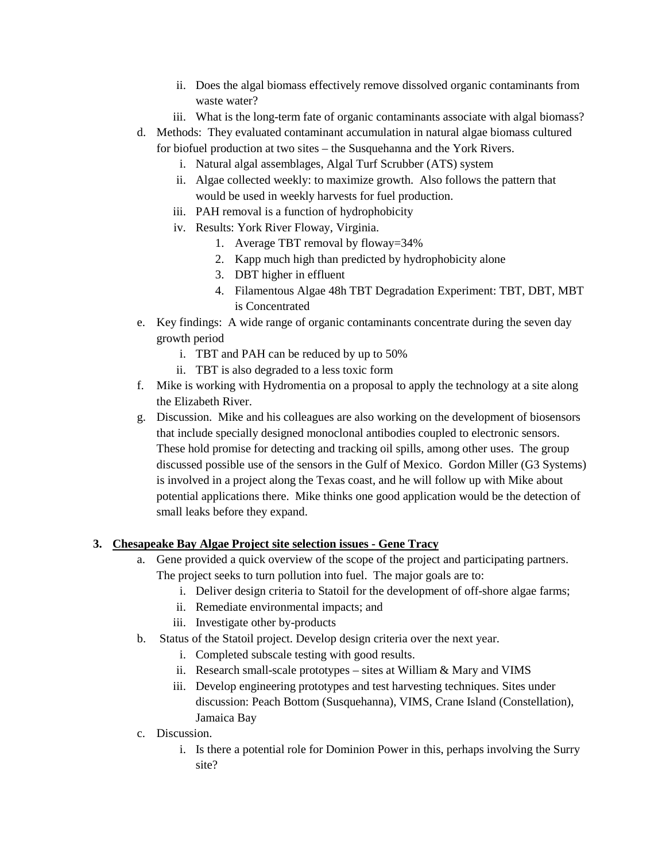- ii. Does the algal biomass effectively remove dissolved organic contaminants from waste water?
- iii. What is the long-term fate of organic contaminants associate with algal biomass?
- d. Methods: They evaluated contaminant accumulation in natural algae biomass cultured for biofuel production at two sites – the Susquehanna and the York Rivers.
	- i. Natural algal assemblages, Algal Turf Scrubber (ATS) system
	- ii. Algae collected weekly: to maximize growth. Also follows the pattern that would be used in weekly harvests for fuel production.
	- iii. PAH removal is a function of hydrophobicity
	- iv. Results: York River Floway, Virginia.
		- 1. Average TBT removal by floway=34%
		- 2. Kapp much high than predicted by hydrophobicity alone
		- 3. DBT higher in effluent
		- 4. Filamentous Algae 48h TBT Degradation Experiment: TBT, DBT, MBT is Concentrated
- e. Key findings: A wide range of organic contaminants concentrate during the seven day growth period
	- i. TBT and PAH can be reduced by up to 50%
	- ii. TBT is also degraded to a less toxic form
- f. Mike is working with Hydromentia on a proposal to apply the technology at a site along the Elizabeth River.
- g. Discussion. Mike and his colleagues are also working on the development of biosensors that include specially designed monoclonal antibodies coupled to electronic sensors. These hold promise for detecting and tracking oil spills, among other uses. The group discussed possible use of the sensors in the Gulf of Mexico. Gordon Miller (G3 Systems) is involved in a project along the Texas coast, and he will follow up with Mike about potential applications there. Mike thinks one good application would be the detection of small leaks before they expand.

## **3. Chesapeake Bay Algae Project site selection issues - Gene Tracy**

- a. Gene provided a quick overview of the scope of the project and participating partners. The project seeks to turn pollution into fuel. The major goals are to:
	- i. Deliver design criteria to Statoil for the development of off-shore algae farms;
	- ii. Remediate environmental impacts; and
	- iii. Investigate other by-products
- b. Status of the Statoil project. Develop design criteria over the next year.
	- i. Completed subscale testing with good results.
	- ii. Research small-scale prototypes sites at William & Mary and VIMS
	- iii. Develop engineering prototypes and test harvesting techniques. Sites under discussion: Peach Bottom (Susquehanna), VIMS, Crane Island (Constellation), Jamaica Bay
- c. Discussion.
	- i. Is there a potential role for Dominion Power in this, perhaps involving the Surry site?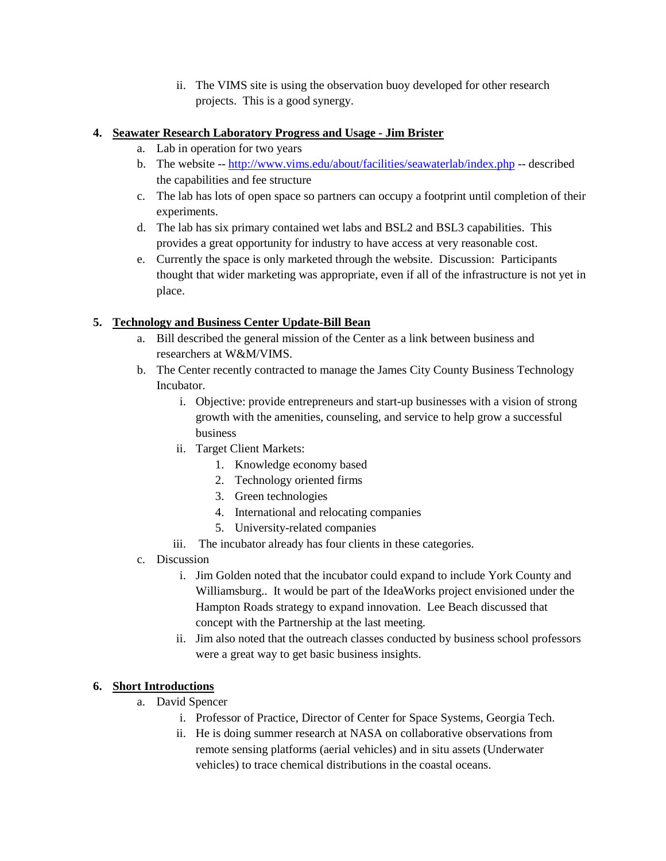ii. The VIMS site is using the observation buoy developed for other research projects. This is a good synergy.

## **4. Seawater Research Laboratory Progress and Usage - Jim Brister**

- a. Lab in operation for two years
- b. The website -- <http://www.vims.edu/about/facilities/seawaterlab/index.php> -- described the capabilities and fee structure
- c. The lab has lots of open space so partners can occupy a footprint until completion of their experiments.
- d. The lab has six primary contained wet labs and BSL2 and BSL3 capabilities. This provides a great opportunity for industry to have access at very reasonable cost.
- e. Currently the space is only marketed through the website. Discussion: Participants thought that wider marketing was appropriate, even if all of the infrastructure is not yet in place.

# **5. Technology and Business Center Update-Bill Bean**

- a. Bill described the general mission of the Center as a link between business and researchers at W&M/VIMS.
- b. The Center recently contracted to manage the James City County Business Technology Incubator.
	- i. Objective: provide entrepreneurs and start-up businesses with a vision of strong growth with the amenities, counseling, and service to help grow a successful business
	- ii. Target Client Markets:
		- 1. Knowledge economy based
		- 2. Technology oriented firms
		- 3. Green technologies
		- 4. International and relocating companies
		- 5. University-related companies
	- iii. The incubator already has four clients in these categories.
- c. Discussion
	- i. Jim Golden noted that the incubator could expand to include York County and Williamsburg.. It would be part of the IdeaWorks project envisioned under the Hampton Roads strategy to expand innovation. Lee Beach discussed that concept with the Partnership at the last meeting.
	- ii. Jim also noted that the outreach classes conducted by business school professors were a great way to get basic business insights.

## **6. Short Introductions**

- a. David Spencer
	- i. Professor of Practice, Director of Center for Space Systems, Georgia Tech.
	- ii. He is doing summer research at NASA on collaborative observations from remote sensing platforms (aerial vehicles) and in situ assets (Underwater vehicles) to trace chemical distributions in the coastal oceans.